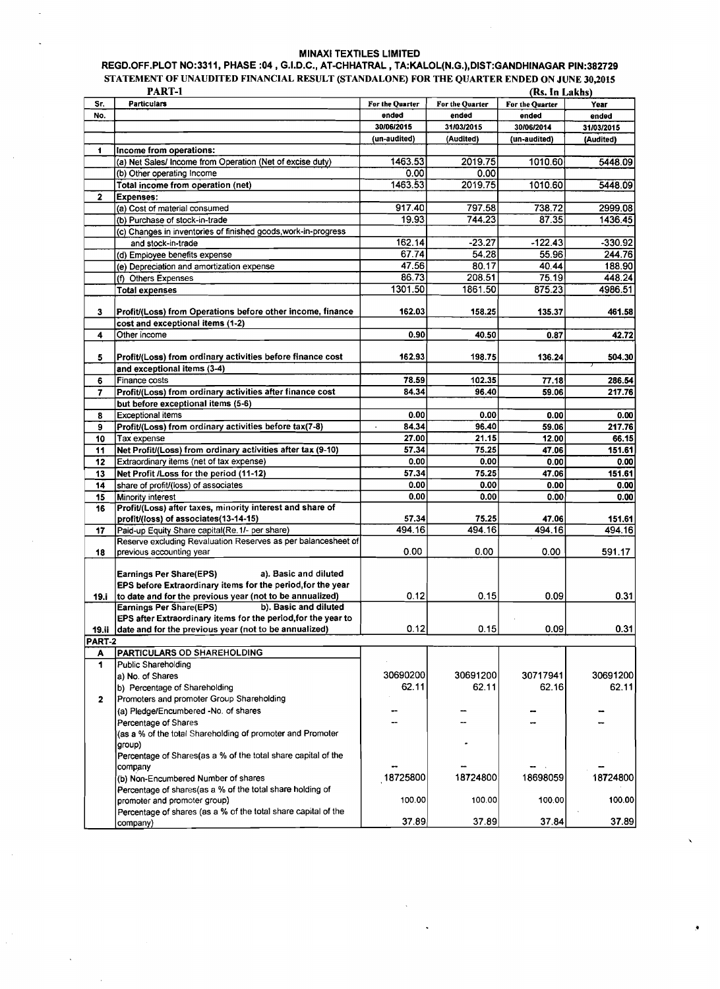## MINAXI TEXTILES LIMITED<br>REGD.OFF.PLOT NO:3311, PHASE :04 , G.I.D.C., AT-CHHATRAL , TA:KALOL(N.G.),DIST:GANDHINAGAR PIN:382729 STATEMENT OF UNAUDITED FINANCIAL RESULT (STANDALONE) FOR THE QUARTER ENDED ON JUNE 30,2015

|              | PART-1                                                         |                         |                 | (Rs. In Lakhs)  |            |
|--------------|----------------------------------------------------------------|-------------------------|-----------------|-----------------|------------|
| Sr.          | <b>Particulars</b>                                             | For the Quarter         | For the Quarter | For the Quarter | Year       |
| No.          |                                                                | ended                   | ended           | ended           | ended      |
|              |                                                                | 30/06/2015              | 31/03/2015      | 30/06/2014      | 31/03/2015 |
|              |                                                                | (un-audited)            | (Audited)       | (un-audited)    | (Audited)  |
| 1            | Income from operations:                                        |                         |                 |                 |            |
|              | (a) Net Sales/ Income from Operation (Net of excise duty)      | 1463.53                 | 2019.75         | 1010.60         | 5448.09    |
|              | (b) Other operating Income                                     | 0.00                    | 0.00            |                 |            |
|              |                                                                |                         | 2019.75         |                 |            |
|              | Total income from operation (net)                              | 1463.53                 |                 | 1010.60         | 5448.09    |
| $\mathbf{z}$ | <b>Expenses:</b>                                               |                         |                 |                 |            |
|              | (a) Cost of material consumed                                  | 917.40                  | 797.58          | 738.72          | 2999.08    |
|              | (b) Purchase of stock-in-trade                                 | 19.93                   | 744.23          | 87.35           | 1436.45    |
|              | (c) Changes in inventories of finished goods, work-in-progress |                         |                 |                 |            |
|              | and stock-in-trade                                             | 162.14                  | $-23.27$        | $-122.43$       | $-330.92$  |
|              | (d) Employee benefits expense                                  | 67.74                   | 54.28           | 55.96           | 244.76     |
|              | (e) Depreciation and amortization expense                      | 47.56                   | 80.17           | 40.44           | 188.90     |
|              | (f) Others Expenses                                            | 86.73                   | 208.51          | 75.19           | 448.24     |
|              | <b>Total expenses</b>                                          | 1301.50                 | 1861.50         | 875.23          | 4986.51    |
|              |                                                                |                         |                 |                 |            |
| 3            | Profit/(Loss) from Operations before other income, finance     | 162.03                  | 158.25          | 135.37          | 461.58     |
|              |                                                                |                         |                 |                 |            |
|              | cost and exceptional items (1-2)                               |                         |                 |                 |            |
| 4            | Other income                                                   | 0.90                    | 40.50           | 0.87            | 42.72      |
|              |                                                                |                         |                 |                 |            |
| 5            | Profit/(Loss) from ordinary activities before finance cost     | 162.93                  | 198.75          | 136.24          | 504.30     |
|              | and exceptional items (3-4)                                    |                         |                 |                 |            |
| 6            | Finance costs                                                  | 78.59                   | 102.35          | 77.18           | 286.54     |
| 7            | Profit/(Loss) from ordinary activities after finance cost      | 84.34                   | 96.40           | 59.06           | 217.76     |
|              | but before exceptional items (5-6)                             |                         |                 |                 |            |
| 8            | <b>Exceptional items</b>                                       | 0.00                    | 0.00            | 0.00            | 0.00       |
| 9            | Profit/(Loss) from ordinary activities before tax(7-8)         | 84.34<br>$\blacksquare$ | 96.40           | 59.06           | 217.76     |
| 10           | Tax expense                                                    | 27.00                   | 21.15           | 12.00           | 66.15      |
|              |                                                                |                         | 75.25           |                 |            |
| 11           | Net Profit/(Loss) from ordinary activities after tax (9-10)    | 57.34                   |                 | 47.06           | 151.61     |
| 12           | Extraordinary items (net of tax expense)                       | 0.00                    | 0.00            | 0.00            | 0.00       |
| 13           | Net Profit /Loss for the period (11-12)                        | 57.34                   | 75.25           | 47.06           | 151.61     |
| 14           | share of profit/(loss) of associates                           | 0.00                    | 0.00            | 0.00            | 0.00       |
| 15           | Minority interest                                              | 0.00                    | 0.00            | 0.00            | 0.00       |
| 16           | Profit/(Loss) after taxes, minority interest and share of      |                         |                 |                 |            |
|              | profit/(loss) of associates(13-14-15)                          | 57.34                   | 75.25           | 47.06           | 151.61     |
| 17           | Paid-up Equity Share capital(Re.1/- per share)                 | 494.16                  | 494.16          | 494.16          | 494.16     |
|              | Reserve excluding Revaluation Reserves as per balancesheet of  |                         |                 |                 |            |
| 18           | previous accounting year                                       | 0.00                    | 0.00            | 0.00            | 591.17     |
|              |                                                                |                         |                 |                 |            |
|              | <b>Earnings Per Share(EPS)</b><br>a). Basic and diluted        |                         |                 |                 |            |
|              | EPS before Extraordinary items for the period, for the year    |                         |                 |                 |            |
| 19.i         | to date and for the previous year (not to be annualized)       | 0.12                    | 0.15            | 0.09            | 0.31       |
|              | Earnings Per Share(EPS)<br>b). Basic and diluted               |                         |                 |                 |            |
|              | EPS after Extraordinary items for the period, for the year to  |                         |                 |                 |            |
|              | date and for the previous year (not to be annualized)          | 0.12                    | 0.15            | 0.09            | 0.31       |
| 19.ii        |                                                                |                         |                 |                 |            |
| PART-2       |                                                                |                         |                 |                 |            |
| A            | PARTICULARS OD SHAREHOLDING                                    |                         |                 |                 |            |
| 1            | Public Shareholding                                            |                         |                 |                 |            |
|              | a) No. of Shares                                               | 30690200                | 30691200        | 30717941        | 30691200   |
|              | b) Percentage of Shareholding                                  | 62.11                   | 62.11           | 62.16           | 62.11      |
| $\mathbf{2}$ | Promoters and promoter Group Shareholding                      |                         |                 |                 |            |
|              | (a) Pledge/Encumbered -No. of shares                           |                         |                 |                 |            |
|              | Percentage of Shares                                           |                         |                 |                 |            |
|              | (as a % of the total Shareholding of promoter and Promoter     |                         |                 |                 |            |
|              | group)                                                         |                         |                 |                 |            |
|              | Percentage of Shares (as a % of the total share capital of the |                         |                 |                 |            |
|              | company                                                        |                         |                 |                 |            |
|              | (b) Non-Encumbered Number of shares                            | 18725800                | 18724800        | 18698059        | 18724800   |
|              |                                                                |                         |                 |                 |            |
|              | Percentage of shares(as a % of the total share holding of      |                         |                 |                 |            |
|              | promoter and promoter group)                                   | 100.00                  | 100.00          | 100.00          | 100.00     |
|              | Percentage of shares (as a % of the total share capital of the |                         |                 |                 |            |
|              | company)                                                       | 37.89                   | 37.89           | 37.84           | 37.89      |

 $\mathbf{I}$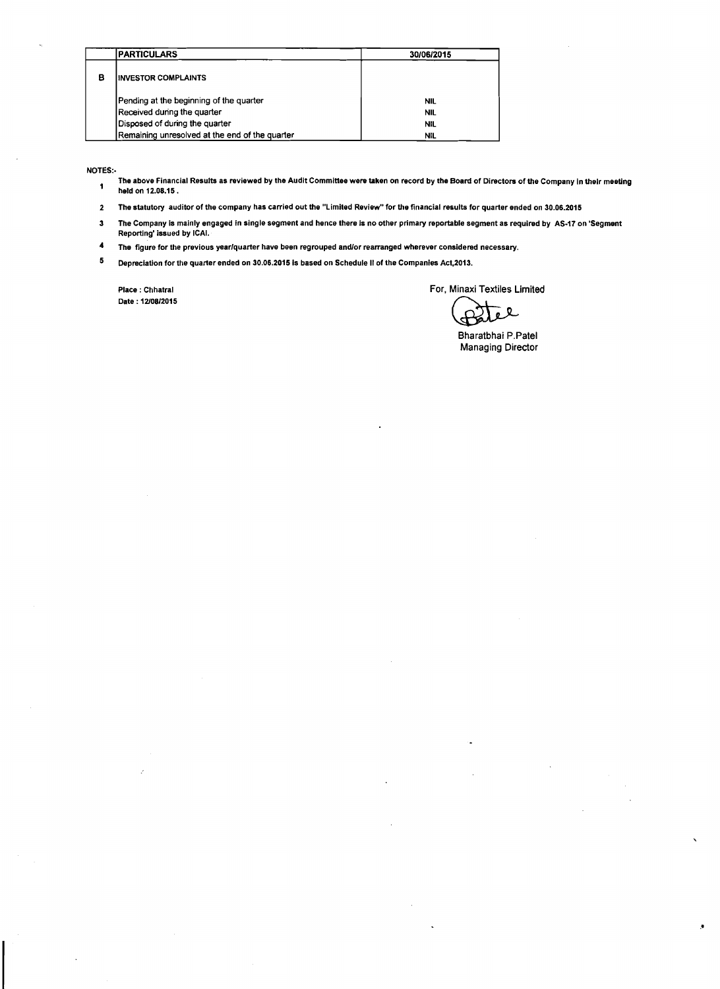|   | <b>IPARTICULARS</b>                            | 30/06/2015 |
|---|------------------------------------------------|------------|
| в | <b>IINVESTOR COMPLAINTS</b>                    |            |
|   | Pending at the beginning of the quarter        | <b>NIL</b> |
|   | Received during the quarter                    | NIL        |
|   | Disposed of during the quarter                 | NIL        |
|   | Remaining unresolved at the end of the quarter | NIL.       |

NOTES:-

- The above Financial Results as reviewed by the Audit Committee were taken on record by the Board of Directors of the Company In thelr meeting  $\blacksquare$ held on 12.08.15.
- 2 The statutory auditor of the company has carried out the "Limited Review" for the financial results for quarter ended on 30.06.2015
- 3 The Company is mainly engaged in single segment and hence there is no other primary reportable segment as required by AS-I7 on 'Segment Reporting' issued by ICAI.
- **4**  The figure for the previous yearlquarter have been regrouped andlor rearranged wherever considered necessary.
- $\bf 5$ Depreciation for the quarter ended on 30.06.2015 is based on Schedule II of the Companies Act,2013.

Date :1210812015

Place : Chhatral **Formula Formula Formula Formula Formula Formula Formula Formula Formula Formula Formula Formula Formula Formula Formula Formula Formula Formula Exhibits Exhibits Ex** 

见  $\mathbf{c}$ 

Bharatbhai P.Patel Managing Director